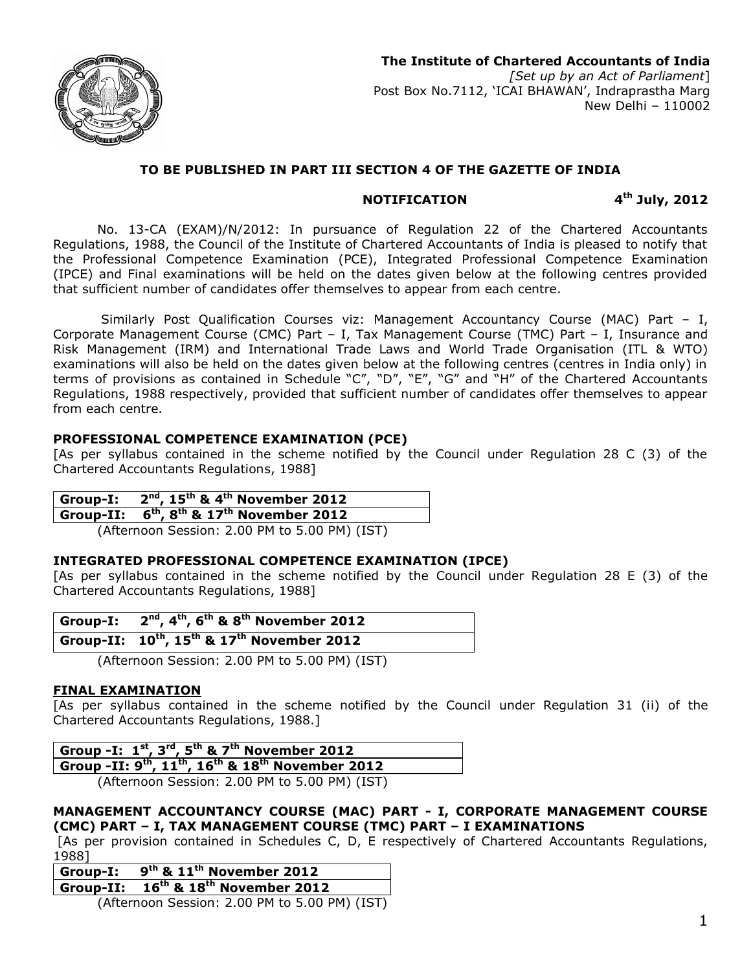

# **TO BE PUBLISHED IN PART III SECTION 4 OF THE GAZETTE OF INDIA**

## **NOTIFICATION 4**

**th July, 2012**

No. 13-CA (EXAM)/N/2012: In pursuance of Regulation 22 of the Chartered Accountants Regulations, 1988, the Council of the Institute of Chartered Accountants of India is pleased to notify that the Professional Competence Examination (PCE), Integrated Professional Competence Examination (IPCE) and Final examinations will be held on the dates given below at the following centres provided that sufficient number of candidates offer themselves to appear from each centre.

Similarly Post Qualification Courses viz: Management Accountancy Course (MAC) Part – I, Corporate Management Course (CMC) Part – I, Tax Management Course (TMC) Part – I, Insurance and Risk Management (IRM) and International Trade Laws and World Trade Organisation (ITL & WTO) examinations will also be held on the dates given below at the following centres (centres in India only) in terms of provisions as contained in Schedule "C", "D", "E", "G" and "H" of the Chartered Accountants Regulations, 1988 respectively, provided that sufficient number of candidates offer themselves to appear from each centre.

# **PROFESSIONAL COMPETENCE EXAMINATION (PCE)**

[As per syllabus contained in the scheme notified by the Council under Regulation 28 C (3) of the Chartered Accountants Regulations, 1988]

| Group-I: $2^{nd}$ , $15^{th}$ & 4 <sup>th</sup> November 2012 |  |
|---------------------------------------------------------------|--|
| Group-II: $6^{th}$ , $8^{th}$ & $17^{th}$ November 2012       |  |
|                                                               |  |

(Afternoon Session: 2.00 PM to 5.00 PM) (IST)

## **INTEGRATED PROFESSIONAL COMPETENCE EXAMINATION (IPCE)**

[As per syllabus contained in the scheme notified by the Council under Regulation 28 E (3) of the Chartered Accountants Regulations, 1988]

| Group-I: $2^{nd}$ , $4^{th}$ , $6^{th}$ & $8^{th}$ November 2012 |
|------------------------------------------------------------------|
| Group-II: $10^{th}$ , $15^{th}$ & $17^{th}$ November 2012        |

(Afternoon Session: 2.00 PM to 5.00 PM) (IST)

# **FINAL EXAMINATION**

[As per syllabus contained in the scheme notified by the Council under Regulation 31 (ii) of the Chartered Accountants Regulations, 1988.]

| Group -I: $1^{st}$ , $3^{rd}$ , $5^{th}$ & $7^{th}$ November 2012 |
|-------------------------------------------------------------------|
|                                                                   |

**Group -II: 9 th, 11 th, 16 th & 18 th November 2012** (Afternoon Session: 2.00 PM to 5.00 PM) (IST)

**MANAGEMENT ACCOUNTANCY COURSE (MAC) PART - I, CORPORATE MANAGEMENT COURSE (CMC) PART – I, TAX MANAGEMENT COURSE (TMC) PART – I EXAMINATIONS**

 [As per provision contained in Schedules C, D, E respectively of Chartered Accountants Regulations, 1988]

| Group-I: $9^{th}$ & $11^{th}$ November 2012   |
|-----------------------------------------------|
| Group-II: $16^{th}$ & $18^{th}$ November 2012 |

(Afternoon Session: 2.00 PM to 5.00 PM) (IST)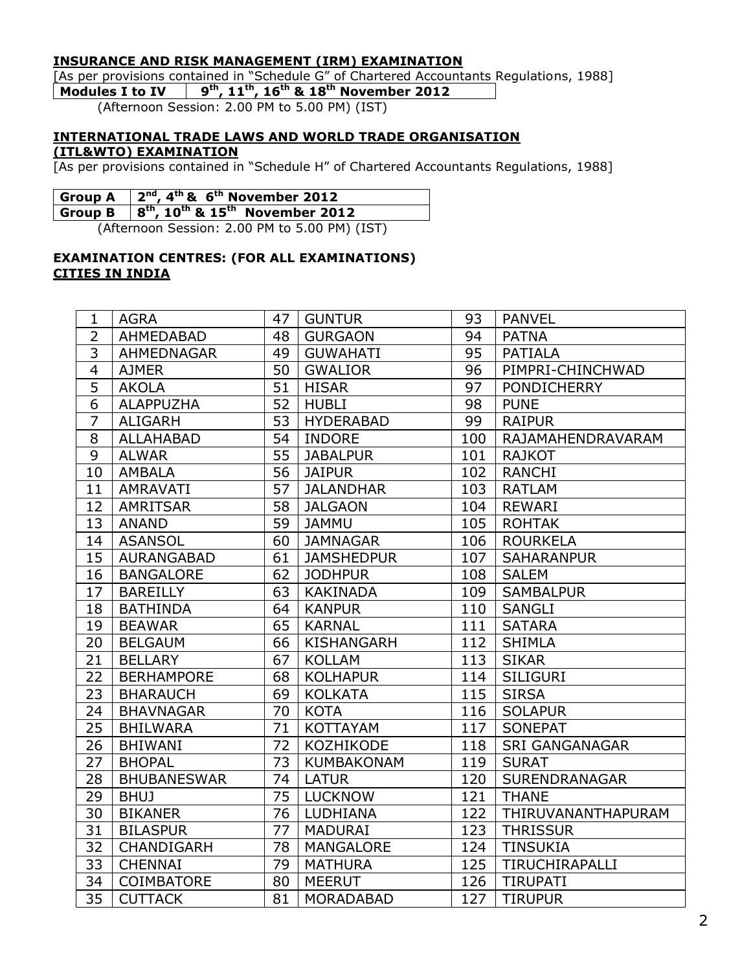# **INSURANCE AND RISK MANAGEMENT (IRM) EXAMINATION**

[As per provisions contained in "Schedule G" of Chartered Accountants Regulations, 1988]

**Modules I to IV 9 th, 11 th, 16 th & 18 th November 2012**

(Afternoon Session: 2.00 PM to 5.00 PM) (IST)

#### **INTERNATIONAL TRADE LAWS AND WORLD TRADE ORGANISATION (ITL&WTO) EXAMINATION**

[As per provisions contained in "Schedule H" of Chartered Accountants Regulations, 1988]

| Group A $\left 2^{nd}, 4^{th}$ & $6^{th}$ November 2012                                              |
|------------------------------------------------------------------------------------------------------|
| Group B $\,$ $\,$ $\,$ $\,$ $\,$ 8 <sup>th</sup> , 10 <sup>th</sup> & 15 <sup>th</sup> November 2012 |

(Afternoon Session: 2.00 PM to 5.00 PM) (IST)

# **EXAMINATION CENTRES: (FOR ALL EXAMINATIONS) CITIES IN INDIA**

| 1              | <b>AGRA</b>        | 47              | <b>GUNTUR</b>     | 93  | <b>PANVEL</b>         |
|----------------|--------------------|-----------------|-------------------|-----|-----------------------|
| $\overline{2}$ | AHMEDABAD          | 48              | <b>GURGAON</b>    | 94  | <b>PATNA</b>          |
| $\overline{3}$ | AHMEDNAGAR         | 49              | <b>GUWAHATI</b>   | 95  | <b>PATIALA</b>        |
| $\overline{4}$ | <b>AJMER</b>       | 50              | <b>GWALIOR</b>    | 96  | PIMPRI-CHINCHWAD      |
| $\overline{5}$ | <b>AKOLA</b>       | 51              | <b>HISAR</b>      | 97  | <b>PONDICHERRY</b>    |
| $\overline{6}$ | <b>ALAPPUZHA</b>   | 52              | <b>HUBLI</b>      | 98  | <b>PUNE</b>           |
| 7              | <b>ALIGARH</b>     | 53              | <b>HYDERABAD</b>  | 99  | <b>RAIPUR</b>         |
| 8              | <b>ALLAHABAD</b>   | 54              | <b>INDORE</b>     | 100 | RAJAMAHENDRAVARAM     |
| $\overline{9}$ | <b>ALWAR</b>       | $\overline{55}$ | <b>JABALPUR</b>   | 101 | <b>RAJKOT</b>         |
| 10             | <b>AMBALA</b>      | 56              | <b>JAIPUR</b>     | 102 | <b>RANCHI</b>         |
| 11             | <b>AMRAVATI</b>    | 57              | <b>JALANDHAR</b>  | 103 | <b>RATLAM</b>         |
| 12             | <b>AMRITSAR</b>    | 58              | <b>JALGAON</b>    | 104 | <b>REWARI</b>         |
| 13             | <b>ANAND</b>       | 59              | <b>JAMMU</b>      | 105 | <b>ROHTAK</b>         |
| 14             | <b>ASANSOL</b>     | 60              | <b>JAMNAGAR</b>   | 106 | <b>ROURKELA</b>       |
| 15             | <b>AURANGABAD</b>  | 61              | <b>JAMSHEDPUR</b> | 107 | <b>SAHARANPUR</b>     |
| 16             | <b>BANGALORE</b>   | 62              | <b>JODHPUR</b>    | 108 | <b>SALEM</b>          |
| 17             | <b>BAREILLY</b>    | 63              | <b>KAKINADA</b>   | 109 | <b>SAMBALPUR</b>      |
| 18             | <b>BATHINDA</b>    | 64              | <b>KANPUR</b>     | 110 | <b>SANGLI</b>         |
| 19             | <b>BEAWAR</b>      | 65              | <b>KARNAL</b>     | 111 | <b>SATARA</b>         |
| 20             | <b>BELGAUM</b>     | 66              | <b>KISHANGARH</b> | 112 | <b>SHIMLA</b>         |
| 21             | <b>BELLARY</b>     | 67              | <b>KOLLAM</b>     | 113 | <b>SIKAR</b>          |
| 22             | <b>BERHAMPORE</b>  | 68              | <b>KOLHAPUR</b>   | 114 | <b>SILIGURI</b>       |
| 23             | <b>BHARAUCH</b>    | 69              | <b>KOLKATA</b>    | 115 | <b>SIRSA</b>          |
| 24             | <b>BHAVNAGAR</b>   | 70              | <b>KOTA</b>       | 116 | <b>SOLAPUR</b>        |
| 25             | <b>BHILWARA</b>    | 71              | <b>KOTTAYAM</b>   | 117 | <b>SONEPAT</b>        |
| 26             | <b>BHIWANI</b>     | 72              | KOZHIKODE         | 118 | <b>SRI GANGANAGAR</b> |
| 27             | <b>BHOPAL</b>      | 73              | <b>KUMBAKONAM</b> | 119 | <b>SURAT</b>          |
| 28             | <b>BHUBANESWAR</b> | 74              | <b>LATUR</b>      | 120 | SURENDRANAGAR         |
| 29             | <b>BHUJ</b>        | 75              | <b>LUCKNOW</b>    | 121 | <b>THANE</b>          |
| 30             | <b>BIKANER</b>     | 76              | LUDHIANA          | 122 | THIRUVANANTHAPURAM    |
| 31             | <b>BILASPUR</b>    | 77              | <b>MADURAI</b>    | 123 | <b>THRISSUR</b>       |
| 32             | CHANDIGARH         | 78              | <b>MANGALORE</b>  | 124 | <b>TINSUKIA</b>       |
| 33             | <b>CHENNAI</b>     | 79              | <b>MATHURA</b>    | 125 | TIRUCHIRAPALLI        |
| 34             | COIMBATORE         | 80              | <b>MEERUT</b>     | 126 | <b>TIRUPATI</b>       |
| 35             | <b>CUTTACK</b>     | 81              | <b>MORADABAD</b>  | 127 | <b>TIRUPUR</b>        |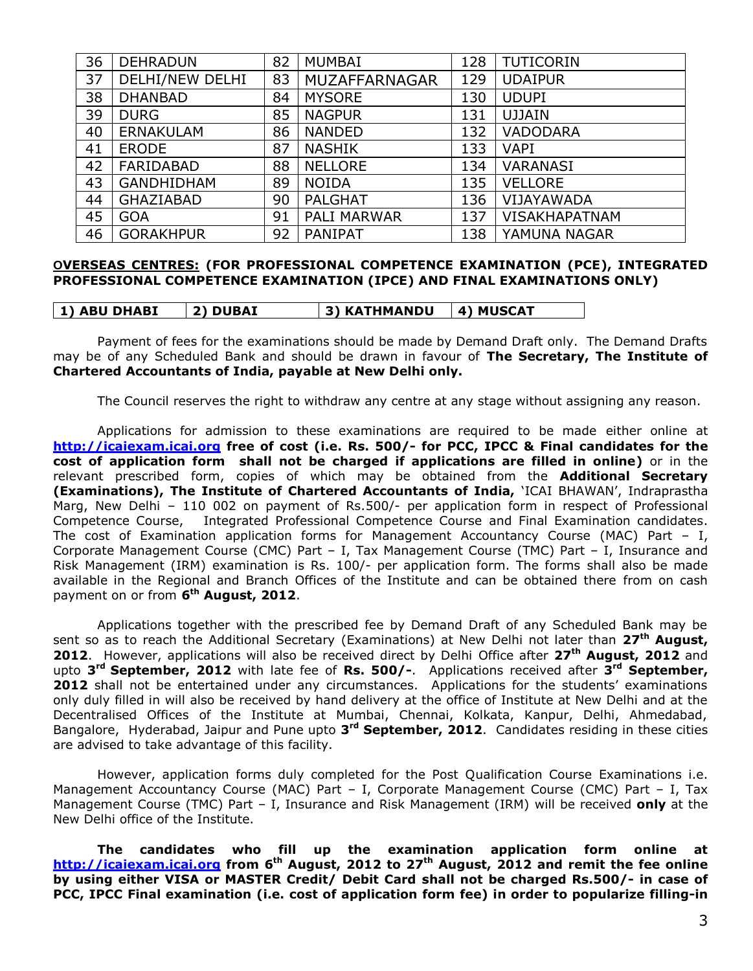| 36 | <b>DEHRADUN</b>        | 82 | <b>MUMBAI</b>      | 128 | <b>TUTICORIN</b>     |
|----|------------------------|----|--------------------|-----|----------------------|
| 37 | <b>DELHI/NEW DELHI</b> | 83 | MUZAFFARNAGAR      | 129 | <b>UDAIPUR</b>       |
| 38 | <b>DHANBAD</b>         | 84 | <b>MYSORE</b>      | 130 | <b>UDUPI</b>         |
| 39 | <b>DURG</b>            | 85 | <b>NAGPUR</b>      | 131 | <b>UJJAIN</b>        |
| 40 | <b>ERNAKULAM</b>       | 86 | <b>NANDED</b>      | 132 | <b>VADODARA</b>      |
| 41 | <b>ERODE</b>           | 87 | <b>NASHIK</b>      | 133 | <b>VAPI</b>          |
| 42 | FARIDABAD              | 88 | <b>NELLORE</b>     | 134 | <b>VARANASI</b>      |
| 43 | <b>GANDHIDHAM</b>      | 89 | <b>NOIDA</b>       | 135 | <b>VELLORE</b>       |
| 44 | GHAZIABAD              | 90 | <b>PALGHAT</b>     | 136 | VIJAYAWADA           |
| 45 | <b>GOA</b>             | 91 | <b>PALI MARWAR</b> | 137 | <b>VISAKHAPATNAM</b> |
| 46 | <b>GORAKHPUR</b>       | 92 | PANIPAT            | 138 | YAMUNA NAGAR         |

#### **OVERSEAS CENTRES: (FOR PROFESSIONAL COMPETENCE EXAMINATION (PCE), INTEGRATED PROFESSIONAL COMPETENCE EXAMINATION (IPCE) AND FINAL EXAMINATIONS ONLY)**

**1) ABU DHABI 2) DUBAI 3) KATHMANDU 4) MUSCAT**

Payment of fees for the examinations should be made by Demand Draft only. The Demand Drafts may be of any Scheduled Bank and should be drawn in favour of **The Secretary, The Institute of Chartered Accountants of India, payable at New Delhi only.**

The Council reserves the right to withdraw any centre at any stage without assigning any reason.

Applications for admission to these examinations are required to be made either online at **http://icaiexam.icai.org free of cost (i.e. Rs. 500/- for PCC, IPCC & Final candidates for the cost of application form shall not be charged if applications are filled in online)** or in the relevant prescribed form, copies of which may be obtained from the **Additional Secretary (Examinations), The Institute of Chartered Accountants of India,** 'ICAI BHAWAN', Indraprastha Marg, New Delhi – 110 002 on payment of Rs.500/- per application form in respect of Professional Competence Course, Integrated Professional Competence Course and Final Examination candidates. The cost of Examination application forms for Management Accountancy Course (MAC) Part – I, Corporate Management Course (CMC) Part – I, Tax Management Course (TMC) Part – I, Insurance and Risk Management (IRM) examination is Rs. 100/- per application form. The forms shall also be made available in the Regional and Branch Offices of the Institute and can be obtained there from on cash payment on or from **6 th August, 2012**.

Applications together with the prescribed fee by Demand Draft of any Scheduled Bank may be sent so as to reach the Additional Secretary (Examinations) at New Delhi not later than **27th August, 2012**. However, applications will also be received direct by Delhi Office after **27th August, 2012** and upto **3 rd September, 2012** with late fee of **Rs. 500/-**. Applications received after **3 rd September,** 2012 shall not be entertained under any circumstances. Applications for the students' examinations only duly filled in will also be received by hand delivery at the office of Institute at New Delhi and at the Decentralised Offices of the Institute at Mumbai, Chennai, Kolkata, Kanpur, Delhi, Ahmedabad, Bangalore, Hyderabad, Jaipur and Pune upto **3 rd September, 2012**. Candidates residing in these cities are advised to take advantage of this facility.

However, application forms duly completed for the Post Qualification Course Examinations i.e. Management Accountancy Course (MAC) Part - I, Corporate Management Course (CMC) Part - I, Tax Management Course (TMC) Part – I, Insurance and Risk Management (IRM) will be received **only** at the New Delhi office of the Institute.

**The candidates who fill up the examination application form online at http://icaiexam.icai.org from 6 th August, 2012 to 27th August, 2012 and remit the fee online by using either VISA or MASTER Credit/ Debit Card shall not be charged Rs.500/- in case of PCC, IPCC Final examination (i.e. cost of application form fee) in order to popularize filling-in**